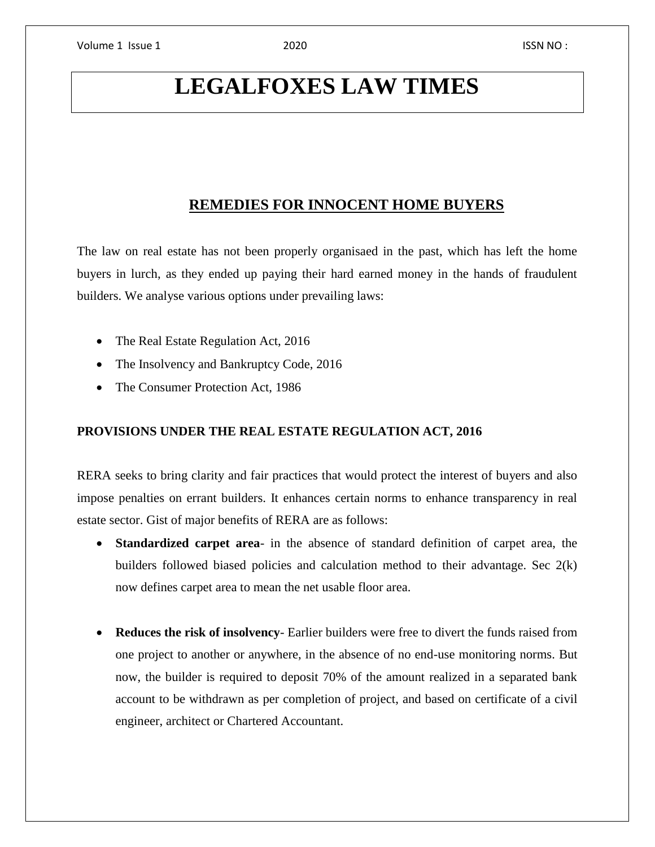# **LEGALFOXES LAW TIMES**

## **REMEDIES FOR INNOCENT HOME BUYERS**

The law on real estate has not been properly organisaed in the past, which has left the home buyers in lurch, as they ended up paying their hard earned money in the hands of fraudulent builders. We analyse various options under prevailing laws:

- The Real Estate Regulation Act, 2016
- The Insolvency and Bankruptcy Code, 2016
- The Consumer Protection Act, 1986

#### **PROVISIONS UNDER THE REAL ESTATE REGULATION ACT, 2016**

RERA seeks to bring clarity and fair practices that would protect the interest of buyers and also impose penalties on errant builders. It enhances certain norms to enhance transparency in real estate sector. Gist of major benefits of RERA are as follows:

- **Standardized carpet area** in the absence of standard definition of carpet area, the builders followed biased policies and calculation method to their advantage. Sec 2(k) now defines carpet area to mean the net usable floor area.
- **Reduces the risk of insolvency** Earlier builders were free to divert the funds raised from one project to another or anywhere, in the absence of no end-use monitoring norms. But now, the builder is required to deposit 70% of the amount realized in a separated bank account to be withdrawn as per completion of project, and based on certificate of a civil engineer, architect or Chartered Accountant.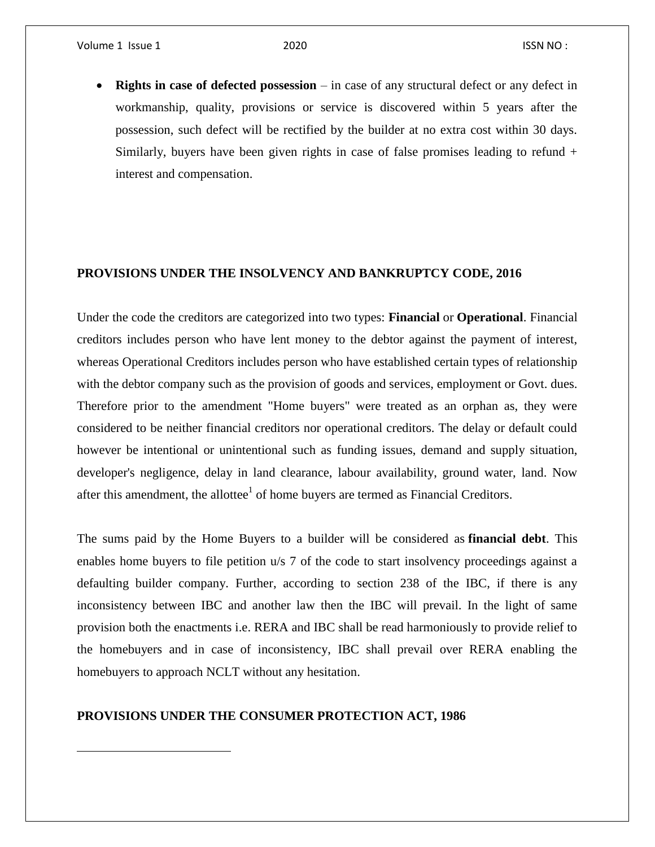Volume 1 Issue 1 2020 **ISSN NO**:

 $\overline{\phantom{a}}$ 

 **Rights in case of defected possession** – in case of any structural defect or any defect in workmanship, quality, provisions or service is discovered within 5 years after the possession, such defect will be rectified by the builder at no extra cost within 30 days. Similarly, buyers have been given rights in case of false promises leading to refund  $+$ interest and compensation.

### **PROVISIONS UNDER THE INSOLVENCY AND BANKRUPTCY CODE, 2016**

Under the code the creditors are categorized into two types: **Financial** or **Operational**. Financial creditors includes person who have lent money to the debtor against the payment of interest, whereas Operational Creditors includes person who have established certain types of relationship with the debtor company such as the provision of goods and services, employment or Govt. dues. Therefore prior to the amendment "Home buyers" were treated as an orphan as, they were considered to be neither financial creditors nor operational creditors. The delay or default could however be intentional or unintentional such as funding issues, demand and supply situation, developer's negligence, delay in land clearance, labour availability, ground water, land. Now after this amendment, the allottee $<sup>1</sup>$  of home buyers are termed as Financial Creditors.</sup>

The sums paid by the Home Buyers to a builder will be considered as **financial debt**. This enables home buyers to file petition u/s 7 of the code to start insolvency proceedings against a defaulting builder company. Further, according to section 238 of the IBC, if there is any inconsistency between IBC and another law then the IBC will prevail. In the light of same provision both the enactments i.e. RERA and IBC shall be read harmoniously to provide relief to the homebuyers and in case of inconsistency, IBC shall prevail over RERA enabling the homebuyers to approach NCLT without any hesitation.

#### **PROVISIONS UNDER THE CONSUMER PROTECTION ACT, 1986**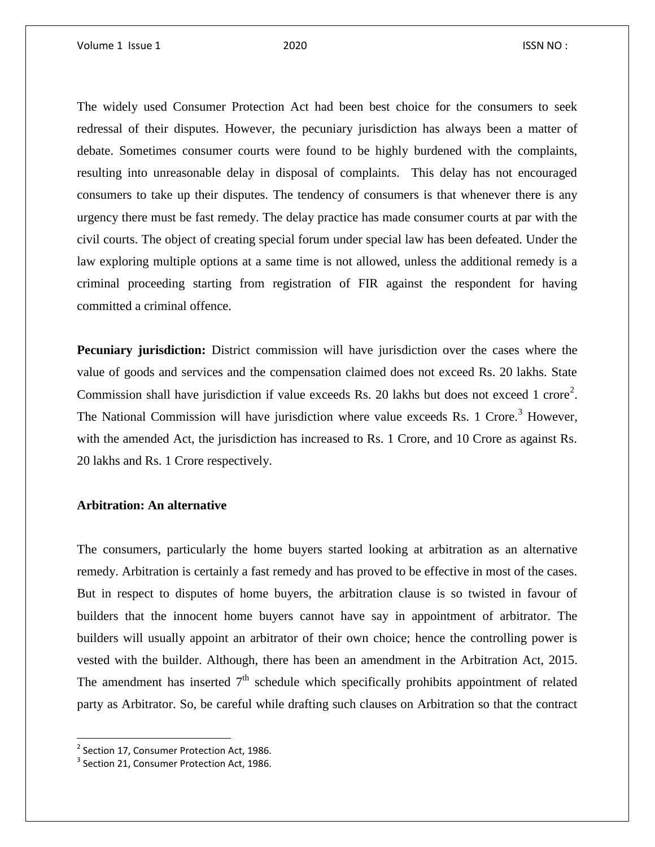The widely used Consumer Protection Act had been best choice for the consumers to seek redressal of their disputes. However, the pecuniary jurisdiction has always been a matter of debate. Sometimes consumer courts were found to be highly burdened with the complaints, resulting into unreasonable delay in disposal of complaints. This delay has not encouraged consumers to take up their disputes. The tendency of consumers is that whenever there is any urgency there must be fast remedy. The delay practice has made consumer courts at par with the civil courts. The object of creating special forum under special law has been defeated. Under the law exploring multiple options at a same time is not allowed, unless the additional remedy is a criminal proceeding starting from registration of FIR against the respondent for having committed a criminal offence.

**Pecuniary jurisdiction:** District commission will have jurisdiction over the cases where the value of goods and services and the compensation claimed does not exceed Rs. 20 lakhs. State Commission shall have jurisdiction if value exceeds Rs. 20 lakhs but does not exceed 1 crore<sup>2</sup>. The National Commission will have jurisdiction where value exceeds Rs. 1 Crore.<sup>3</sup> However, with the amended Act, the jurisdiction has increased to Rs. 1 Crore, and 10 Crore as against Rs. 20 lakhs and Rs. 1 Crore respectively.

#### **Arbitration: An alternative**

The consumers, particularly the home buyers started looking at arbitration as an alternative remedy. Arbitration is certainly a fast remedy and has proved to be effective in most of the cases. But in respect to disputes of home buyers, the arbitration clause is so twisted in favour of builders that the innocent home buyers cannot have say in appointment of arbitrator. The builders will usually appoint an arbitrator of their own choice; hence the controlling power is vested with the builder. Although, there has been an amendment in the Arbitration Act, 2015. The amendment has inserted  $7<sup>th</sup>$  schedule which specifically prohibits appointment of related party as Arbitrator. So, be careful while drafting such clauses on Arbitration so that the contract

l

<sup>&</sup>lt;sup>2</sup> Section 17, Consumer Protection Act, 1986.

 $3$  Section 21, Consumer Protection Act, 1986.